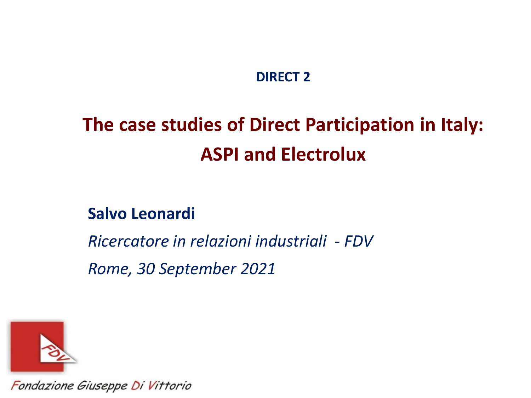#### **DIRECT 2**

### **The case studies of Direct Participation in Italy: ASPI and Electrolux**

**Salvo Leonardi**

*Ricercatore in relazioni industriali - FDV Rome, 30 September 2021*



Fondazione Giuseppe Di Vittorio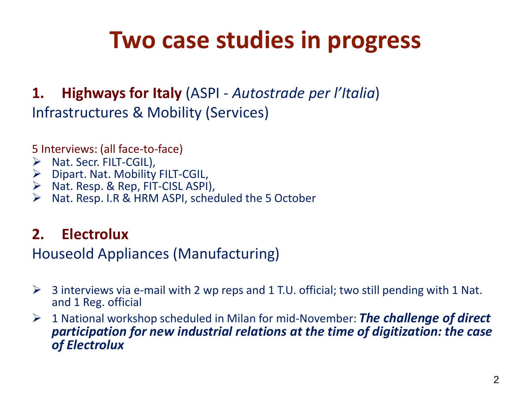## **Two case studies in progress**

### **1. Highways for Italy** (ASPI - *Autostrade per l'Italia*) Infrastructures & Mobility (Services)

5 Interviews: (all face-to-face)

- $\triangleright$  Nat. Secr. FILT-CGIL),
- $\triangleright$  Dipart. Nat. Mobility FILT-CGIL,
- $\triangleright$  Nat. Resp. & Rep, FIT-CISL ASPI),
- Nat. Resp. I.R & HRM ASPI, scheduled the 5 October

#### **2. Electrolux**

#### Houseold Appliances (Manufacturing)

- $\triangleright$  3 interviews via e-mail with 2 wp reps and 1 T.U. official; two still pending with 1 Nat. and 1 Reg. official
- 1 National workshop scheduled in Milan for mid-November: *The challenge of direct participation for new industrial relations at the time of digitization: the case of Electrolux*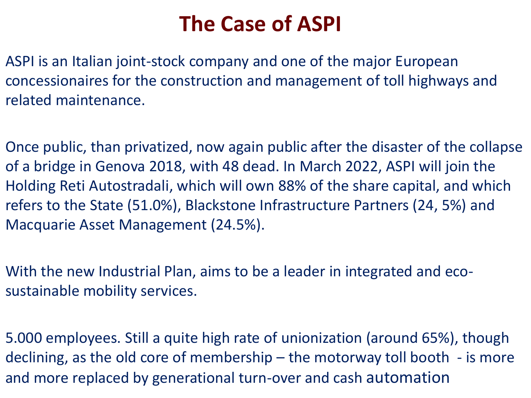### **The Case of ASPI**

ASPI is an Italian joint-stock company and one of the major European concessionaires for the construction and management of toll highways and related maintenance.

Once public, than privatized, now again public after the disaster of the collapse of a bridge in Genova 2018, with 48 dead. In March 2022, ASPI will join the Holding Reti Autostradali, which will own 88% of the share capital, and which refers to the State (51.0%), Blackstone Infrastructure Partners (24, 5%) and Macquarie Asset Management (24.5%).

With the new Industrial Plan, aims to be a leader in integrated and ecosustainable mobility services.

5.000 employees. Still a quite high rate of unionization (around 65%), though declining, as the old core of membership – the motorway toll booth - is more and more replaced by generational turn-over and cash automation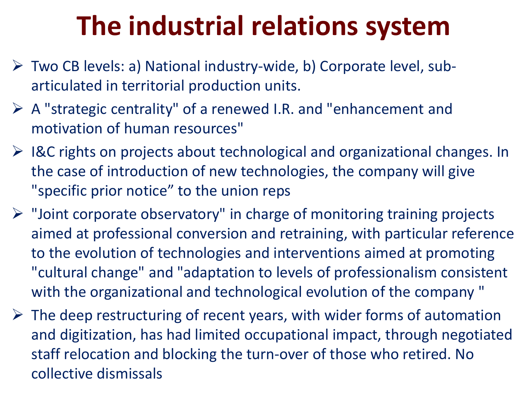# **The industrial relations system**

- Two CB levels: a) National industry-wide, b) Corporate level, subarticulated in territorial production units.
- A "strategic centrality" of a renewed I.R. and "enhancement and motivation of human resources"
- $\triangleright$  I&C rights on projects about technological and organizational changes. In the case of introduction of new technologies, the company will give "specific prior notice" to the union reps
- $\triangleright$  "Joint corporate observatory" in charge of monitoring training projects aimed at professional conversion and retraining, with particular reference to the evolution of technologies and interventions aimed at promoting "cultural change" and "adaptation to levels of professionalism consistent with the organizational and technological evolution of the company "
- $\triangleright$  The deep restructuring of recent years, with wider forms of automation and digitization, has had limited occupational impact, through negotiated staff relocation and blocking the turn-over of those who retired. No collective dismissals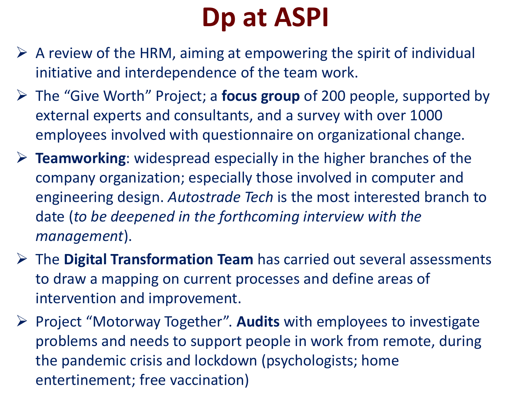# **Dp at ASPI**

- $\triangleright$  A review of the HRM, aiming at empowering the spirit of individual initiative and interdependence of the team work.
- The "Give Worth" Project; a **focus group** of 200 people, supported by external experts and consultants, and a survey with over 1000 employees involved with questionnaire on organizational change.
- **Teamworking**: widespread especially in the higher branches of the company organization; especially those involved in computer and engineering design. *Autostrade Tech* is the most interested branch to date (*to be deepened in the forthcoming interview with the management*).
- The **Digital Transformation Team** has carried out several assessments to draw a mapping on current processes and define areas of intervention and improvement.
- Project "Motorway Together". **Audits** with employees to investigate problems and needs to support people in work from remote, during the pandemic crisis and lockdown (psychologists; home entertinement; free vaccination)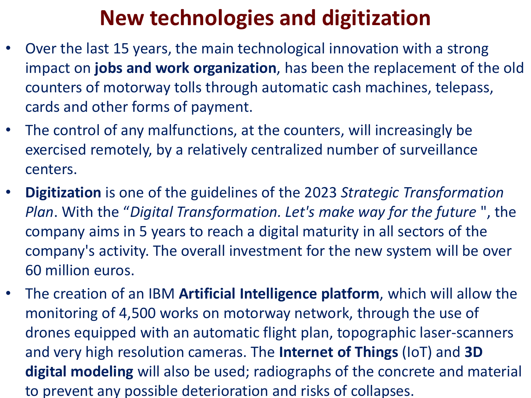### **New technologies and digitization**

- Over the last 15 years, the main technological innovation with a strong impact on **jobs and work organization**, has been the replacement of the old counters of motorway tolls through automatic cash machines, telepass, cards and other forms of payment.
- The control of any malfunctions, at the counters, will increasingly be exercised remotely, by a relatively centralized number of surveillance centers.
- **Digitization** is one of the guidelines of the 2023 *Strategic Transformation Plan*. With the "*Digital Transformation. Let's make way for the future* ", the company aims in 5 years to reach a digital maturity in all sectors of the company's activity. The overall investment for the new system will be over 60 million euros.
- The creation of an IBM **Artificial Intelligence platform**, which will allow the monitoring of 4,500 works on motorway network, through the use of drones equipped with an automatic flight plan, topographic laser-scanners and very high resolution cameras. The **Internet of Things** (IoT) and **3D digital modeling** will also be used; radiographs of the concrete and material to prevent any possible deterioration and risks of collapses.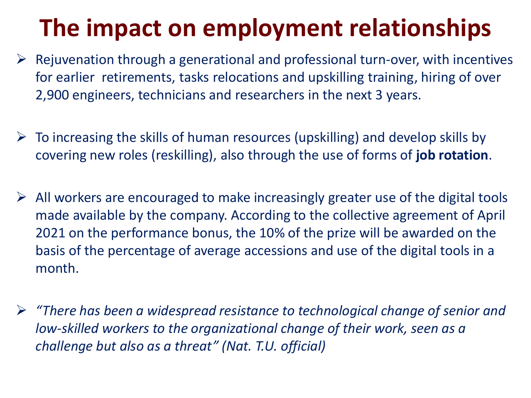## **The impact on employment relationships**

- $\triangleright$  Rejuvenation through a generational and professional turn-over, with incentives for earlier retirements, tasks relocations and upskilling training, hiring of over 2,900 engineers, technicians and researchers in the next 3 years.
- $\triangleright$  To increasing the skills of human resources (upskilling) and develop skills by covering new roles (reskilling), also through the use of forms of **job rotation**.
- $\triangleright$  All workers are encouraged to make increasingly greater use of the digital tools made available by the company. According to the collective agreement of April 2021 on the performance bonus, the 10% of the prize will be awarded on the basis of the percentage of average accessions and use of the digital tools in a month.
- *"There has been a widespread resistance to technological change of senior and low-skilled workers to the organizational change of their work, seen as a challenge but also as a threat" (Nat. T.U. official)*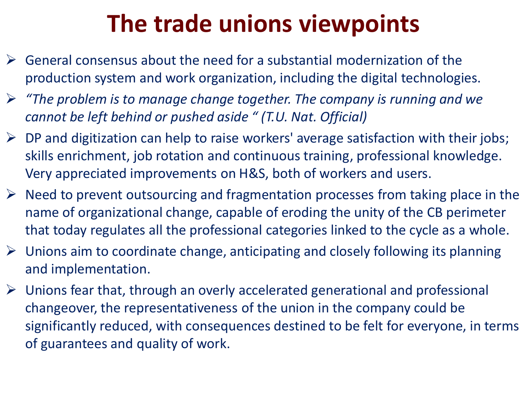## **The trade unions viewpoints**

- $\triangleright$  General consensus about the need for a substantial modernization of the production system and work organization, including the digital technologies.
- *"The problem is to manage change together. The company is running and we cannot be left behind or pushed aside " (T.U. Nat. Official)*
- $\triangleright$  DP and digitization can help to raise workers' average satisfaction with their jobs; skills enrichment, job rotation and continuous training, professional knowledge. Very appreciated improvements on H&S, both of workers and users.
- $\triangleright$  Need to prevent outsourcing and fragmentation processes from taking place in the name of organizational change, capable of eroding the unity of the CB perimeter that today regulates all the professional categories linked to the cycle as a whole.
- $\triangleright$  Unions aim to coordinate change, anticipating and closely following its planning and implementation.
- $\triangleright$  Unions fear that, through an overly accelerated generational and professional changeover, the representativeness of the union in the company could be significantly reduced, with consequences destined to be felt for everyone, in terms of guarantees and quality of work.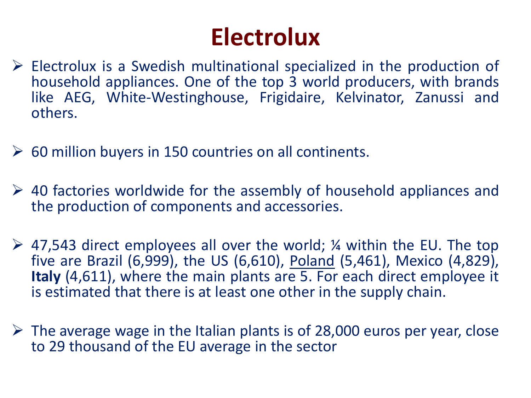## **Electrolux**

- $\triangleright$  Electrolux is a Swedish multinational specialized in the production of household appliances. One of the top 3 world producers, with brands like AEG, White-Westinghouse, Frigidaire, Kelvinator, Zanussi and others.
- $\geq$  60 million buyers in 150 countries on all continents.
- $\geq$  40 factories worldwide for the assembly of household appliances and the production of components and accessories.
- $\geq$  47,543 direct employees all over the world; *4* within the EU. The top five are Brazil (6,999), the US (6,610), Poland (5,461), Mexico (4,829), **Italy** (4,611), where the main plants are 5. For each direct employee it is estimated that there is at least one other in the supply chain.
- $\triangleright$  The average wage in the Italian plants is of 28,000 euros per year, close to 29 thousand of the EU average in the sector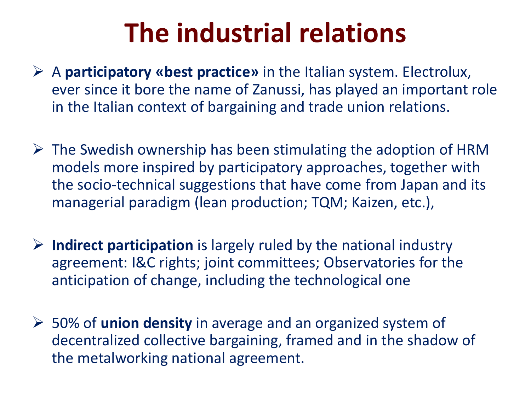# **The industrial relations**

- A **participatory «best practice»** in the Italian system. Electrolux, ever since it bore the name of Zanussi, has played an important role in the Italian context of bargaining and trade union relations.
- $\triangleright$  The Swedish ownership has been stimulating the adoption of HRM models more inspired by participatory approaches, together with the socio-technical suggestions that have come from Japan and its managerial paradigm (lean production; TQM; Kaizen, etc.),
- **Indirect participation** is largely ruled by the national industry agreement: I&C rights; joint committees; Observatories for the anticipation of change, including the technological one
- 50% of **union density** in average and an organized system of decentralized collective bargaining, framed and in the shadow of the metalworking national agreement.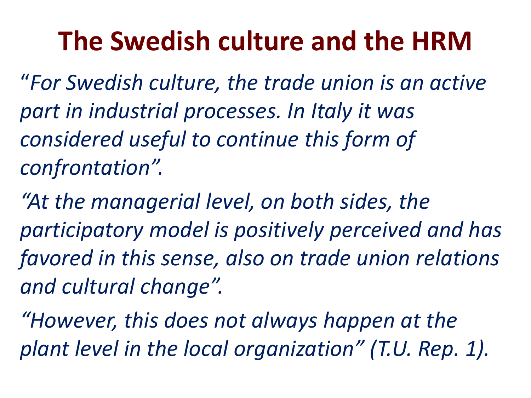# **The Swedish culture and the HRM**

"*For Swedish culture, the trade union is an active part in industrial processes. In Italy it was considered useful to continue this form of confrontation".* 

*"At the managerial level, on both sides, the participatory model is positively perceived and has favored in this sense, also on trade union relations and cultural change".* 

*"However, this does not always happen at the plant level in the local organization" (T.U. Rep. 1).*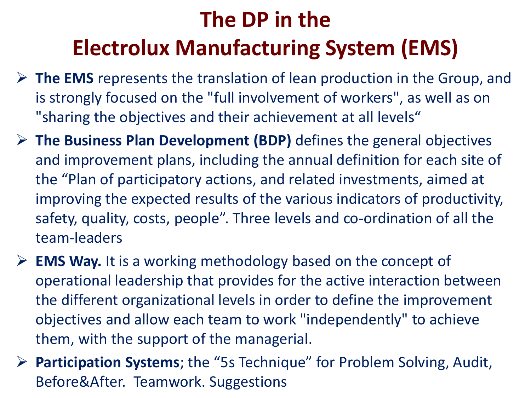### **The DP in the Electrolux Manufacturing System (EMS)**

- **The EMS** represents the translation of lean production in the Group, and is strongly focused on the "full involvement of workers", as well as on "sharing the objectives and their achievement at all levels"
- **The Business Plan Development (BDP)** defines the general objectives and improvement plans, including the annual definition for each site of the "Plan of participatory actions, and related investments, aimed at improving the expected results of the various indicators of productivity, safety, quality, costs, people". Three levels and co-ordination of all the team-leaders
- **EMS Way.** It is a working methodology based on the concept of operational leadership that provides for the active interaction between the different organizational levels in order to define the improvement objectives and allow each team to work "independently" to achieve them, with the support of the managerial.
- **Participation Systems**; the "5s Technique" for Problem Solving, Audit, Before&After. Teamwork. Suggestions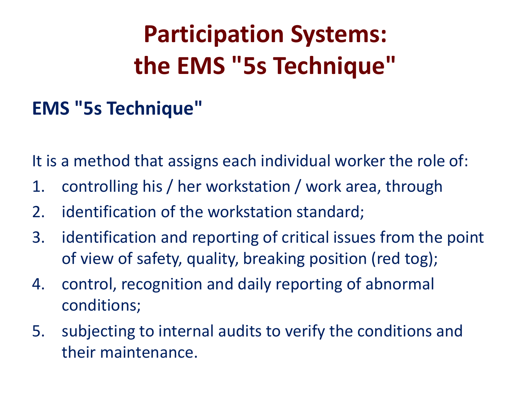# **Participation Systems: the EMS "5s Technique"**

### **EMS "5s Technique"**

It is a method that assigns each individual worker the role of:

- 1. controlling his / her workstation / work area, through
- 2. identification of the workstation standard;
- 3. identification and reporting of critical issues from the point of view of safety, quality, breaking position (red tog);
- 4. control, recognition and daily reporting of abnormal conditions;
- 5. subjecting to internal audits to verify the conditions and their maintenance.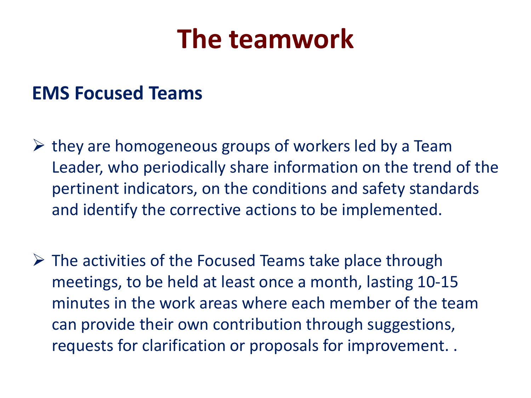## **The teamwork**

### **EMS Focused Teams**

- $\triangleright$  they are homogeneous groups of workers led by a Team Leader, who periodically share information on the trend of the pertinent indicators, on the conditions and safety standards and identify the corrective actions to be implemented.
- $\triangleright$  The activities of the Focused Teams take place through meetings, to be held at least once a month, lasting 10-15 minutes in the work areas where each member of the team can provide their own contribution through suggestions, requests for clarification or proposals for improvement. .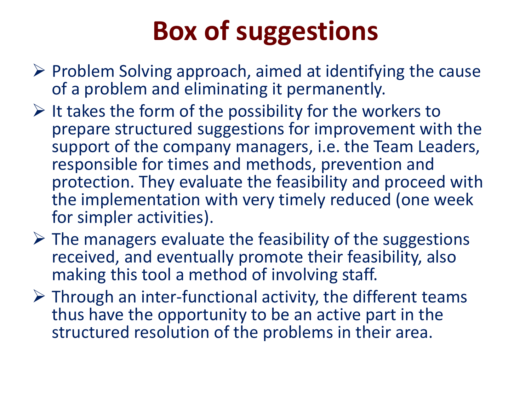# **Box of suggestions**

- $\triangleright$  Problem Solving approach, aimed at identifying the cause of a problem and eliminating it permanently.
- $\triangleright$  It takes the form of the possibility for the workers to prepare structured suggestions for improvement with the support of the company managers, i.e. the Team Leaders, responsible for times and methods, prevention and protection. They evaluate the feasibility and proceed with the implementation with very timely reduced (one week for simpler activities).
- $\triangleright$  The managers evaluate the feasibility of the suggestions received, and eventually promote their feasibility, also making this tool a method of involving staff.
- $\triangleright$  Through an inter-functional activity, the different teams thus have the opportunity to be an active part in the structured resolution of the problems in their area.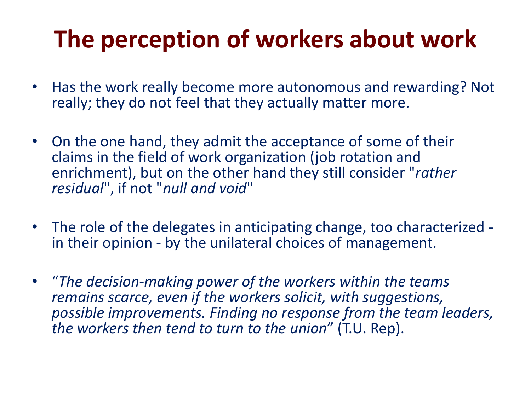## **The perception of workers about work**

- Has the work really become more autonomous and rewarding? Not really; they do not feel that they actually matter more.
- On the one hand, they admit the acceptance of some of their claims in the field of work organization (job rotation and enrichment), but on the other hand they still consider "*rather residual*", if not "*null and void*"
- The role of the delegates in anticipating change, too characterized in their opinion - by the unilateral choices of management.
- "*The decision-making power of the workers within the teams remains scarce, even if the workers solicit, with suggestions, possible improvements. Finding no response from the team leaders, the workers then tend to turn to the union*" (T.U. Rep).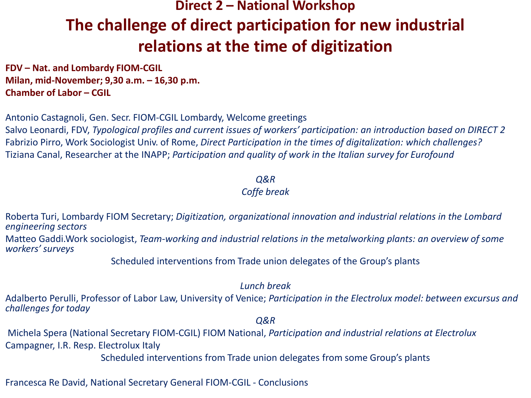### **Direct 2 – National Workshop The challenge of direct participation for new industrial relations at the time of digitization**

**FDV – Nat. and Lombardy FIOM-CGIL Milan, mid-November; 9,30 a.m. – 16,30 p.m. Chamber of Labor – CGIL**

Antonio Castagnoli, Gen. Secr. FIOM-CGIL Lombardy, Welcome greetings Salvo Leonardi, FDV, *Typological profiles and current issues of workers' participation: an introduction based on DIRECT 2*  Fabrizio Pirro, Work Sociologist Univ. of Rome, *Direct Participation in the times of digitalization: which challenges?* Tiziana Canal, Researcher at the INAPP; *Participation and quality of work in the Italian survey for Eurofound*

#### *Q&R Coffe break*

Roberta Turi, Lombardy FIOM Secretary; *Digitization, organizational innovation and industrial relations in the Lombard engineering sectors*

Matteo Gaddi.Work sociologist, *Team-working and industrial relations in the metalworking plants: an overview of some workers' surveys*

Scheduled interventions from Trade union delegates of the Group's plants

#### *Lunch break*

Adalberto Perulli, Professor of Labor Law, University of Venice; *Participation in the Electrolux model: between excursus and challenges for today*

*Q&R*

Michela Spera (National Secretary FIOM-CGIL) FIOM National, *Participation and industrial relations at Electrolux* Campagner, I.R. Resp. Electrolux Italy

Scheduled interventions from Trade union delegates from some Group's plants

Francesca Re David, National Secretary General FIOM-CGIL - Conclusions